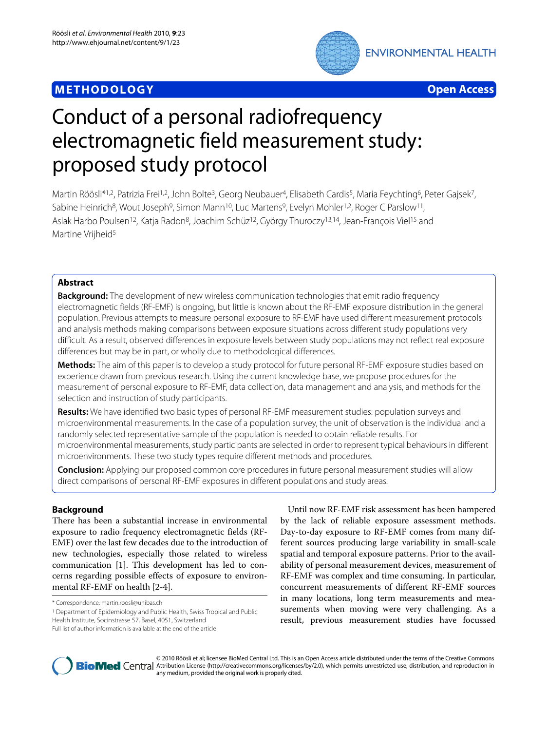# **METHODOLOGY Open Access**





# Conduct of a personal radiofrequency electromagnetic field measurement study: proposed study protocol

Martin Röösli\*<sup>1,2</sup>, Patrizia Frei<sup>1,2</sup>, John Bolte<sup>3</sup>, Georg Neubauer<sup>4</sup>, Elisabeth Cardis<sup>5</sup>, Maria Feychting<sup>6</sup>, Peter Gaisek<sup>7</sup>, Sabine Heinrich<sup>8</sup>, Wout Joseph<sup>9</sup>, Simon Mann<sup>10</sup>, Luc Martens<sup>9</sup>, Evelyn Mohler<sup>1,2</sup>, Roger C Parslow<sup>11</sup>, Aslak Harbo Poulsen12, Katja Radon8, Joachim Schüz12, György Thuroczy13,14, Jean-François Viel15 and Martine Vrijheid<sup>5</sup>

# **Abstract**

**Background:** The development of new wireless communication technologies that emit radio frequency electromagnetic fields (RF-EMF) is ongoing, but little is known about the RF-EMF exposure distribution in the general population. Previous attempts to measure personal exposure to RF-EMF have used different measurement protocols and analysis methods making comparisons between exposure situations across different study populations very difficult. As a result, observed differences in exposure levels between study populations may not reflect real exposure differences but may be in part, or wholly due to methodological differences.

**Methods:** The aim of this paper is to develop a study protocol for future personal RF-EMF exposure studies based on experience drawn from previous research. Using the current knowledge base, we propose procedures for the measurement of personal exposure to RF-EMF, data collection, data management and analysis, and methods for the selection and instruction of study participants.

**Results:** We have identified two basic types of personal RF-EMF measurement studies: population surveys and microenvironmental measurements. In the case of a population survey, the unit of observation is the individual and a randomly selected representative sample of the population is needed to obtain reliable results. For microenvironmental measurements, study participants are selected in order to represent typical behaviours in different microenvironments. These two study types require different methods and procedures.

**Conclusion:** Applying our proposed common core procedures in future personal measurement studies will allow direct comparisons of personal RF-EMF exposures in different populations and study areas.

# **Background**

There has been a substantial increase in environmental exposure to radio frequency electromagnetic fields (RF-EMF) over the last few decades due to the introduction of new technologies, especially those related to wireless communication [[1\]](#page-12-0). This development has led to concerns regarding possible effects of exposure to environmental RF-EMF on health [[2-](#page-12-1)[4](#page-12-2)].

\* Correspondence: martin.roosli@unibas.ch

1 Department of Epidemiology and Public Health, Swiss Tropical and Public Health Institute, Socinstrasse 57, Basel, 4051, Switzerland

Until now RF-EMF risk assessment has been hampered by the lack of reliable exposure assessment methods. Day-to-day exposure to RF-EMF comes from many different sources producing large variability in small-scale spatial and temporal exposure patterns. Prior to the availability of personal measurement devices, measurement of RF-EMF was complex and time consuming. In particular, concurrent measurements of different RF-EMF sources in many locations, long term measurements and measurements when moving were very challenging. As a result, previous measurement studies have focussed



© 2010 Röösli et al; licensee BioMed Central Ltd. This is an Open Access article distributed under the terms of the Creative Commons **Bio Med** Central Attribution License (http://creativecommons.org/licenses/by/2.0), which permits unrestricted use, distribution, and reproduction in any medium, provided the original work is properly cited.

Full list of author information is available at the end of the article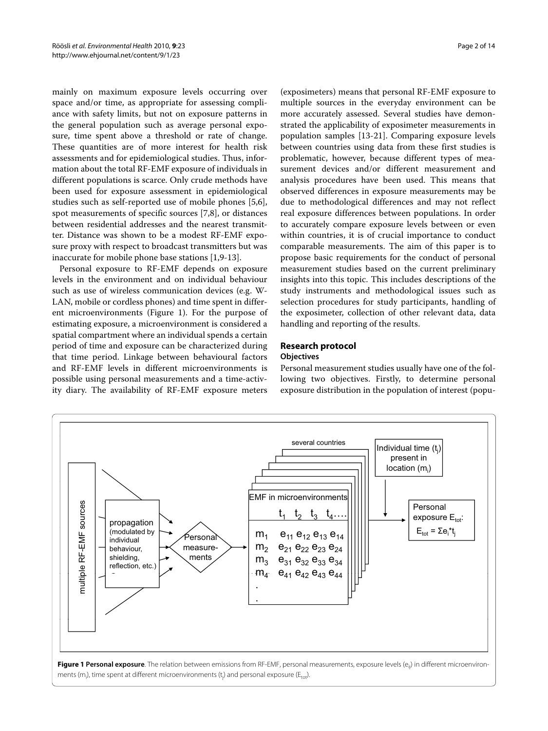mainly on maximum exposure levels occurring over space and/or time, as appropriate for assessing compliance with safety limits, but not on exposure patterns in the general population such as average personal exposure, time spent above a threshold or rate of change. These quantities are of more interest for health risk assessments and for epidemiological studies. Thus, information about the total RF-EMF exposure of individuals in different populations is scarce. Only crude methods have been used for exposure assessment in epidemiological studies such as self-reported use of mobile phones [\[5](#page-12-3)[,6](#page-12-4)], spot measurements of specific sources [[7,](#page-12-5)[8\]](#page-12-6), or distances between residential addresses and the nearest transmitter. Distance was shown to be a modest RF-EMF exposure proxy with respect to broadcast transmitters but was inaccurate for mobile phone base stations [[1,](#page-12-0)[9-](#page-12-7)[13](#page-13-0)].

Personal exposure to RF-EMF depends on exposure levels in the environment and on individual behaviour such as use of wireless communication devices (e.g. W-LAN, mobile or cordless phones) and time spent in different microenvironments (Figure [1](#page-1-0)). For the purpose of estimating exposure, a microenvironment is considered a spatial compartment where an individual spends a certain period of time and exposure can be characterized during that time period. Linkage between behavioural factors and RF-EMF levels in different microenvironments is possible using personal measurements and a time-activity diary. The availability of RF-EMF exposure meters

(exposimeters) means that personal RF-EMF exposure to multiple sources in the everyday environment can be more accurately assessed. Several studies have demonstrated the applicability of exposimeter measurements in population samples [[13](#page-13-0)-[21\]](#page-13-1). Comparing exposure levels between countries using data from these first studies is problematic, however, because different types of measurement devices and/or different measurement and analysis procedures have been used. This means that observed differences in exposure measurements may be due to methodological differences and may not reflect real exposure differences between populations. In order to accurately compare exposure levels between or even within countries, it is of crucial importance to conduct comparable measurements. The aim of this paper is to propose basic requirements for the conduct of personal measurement studies based on the current preliminary insights into this topic. This includes descriptions of the study instruments and methodological issues such as selection procedures for study participants, handling of the exposimeter, collection of other relevant data, data handling and reporting of the results.

# **Research protocol Objectives**

Personal measurement studies usually have one of the following two objectives. Firstly, to determine personal exposure distribution in the population of interest (popu-

<span id="page-1-0"></span>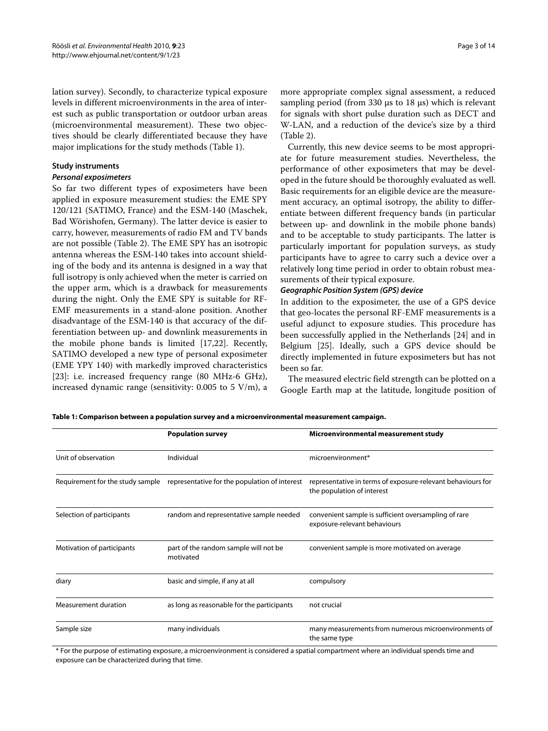lation survey). Secondly, to characterize typical exposure levels in different microenvironments in the area of interest such as public transportation or outdoor urban areas (microenvironmental measurement). These two objectives should be clearly differentiated because they have major implications for the study methods (Table [1](#page-2-0)).

#### **Study instruments**

#### **Personal exposimeters**

So far two different types of exposimeters have been applied in exposure measurement studies: the EME SPY 120/121 (SATIMO, France) and the ESM-140 (Maschek, Bad Wörishofen, Germany). The latter device is easier to carry, however, measurements of radio FM and TV bands are not possible (Table 2). The EME SPY has an isotropic antenna whereas the ESM-140 takes into account shielding of the body and its antenna is designed in a way that full isotropy is only achieved when the meter is carried on the upper arm, which is a drawback for measurements during the night. Only the EME SPY is suitable for RF-EMF measurements in a stand-alone position. Another disadvantage of the ESM-140 is that accuracy of the differentiation between up- and downlink measurements in the mobile phone bands is limited [[17,](#page-13-2)[22\]](#page-13-3). Recently, SATIMO developed a new type of personal exposimeter (EME YPY 140) with markedly improved characteristics [[23\]](#page-13-4): i.e. increased frequency range (80 MHz-6 GHz), increased dynamic range (sensitivity: 0.005 to 5 V/m), a more appropriate complex signal assessment, a reduced sampling period (from 330 μs to 18 μs) which is relevant for signals with short pulse duration such as DECT and W-LAN, and a reduction of the device's size by a third (Table 2).

Currently, this new device seems to be most appropriate for future measurement studies. Nevertheless, the performance of other exposimeters that may be developed in the future should be thoroughly evaluated as well. Basic requirements for an eligible device are the measurement accuracy, an optimal isotropy, the ability to differentiate between different frequency bands (in particular between up- and downlink in the mobile phone bands) and to be acceptable to study participants. The latter is particularly important for population surveys, as study participants have to agree to carry such a device over a relatively long time period in order to obtain robust measurements of their typical exposure.

# **Geographic Position System (GPS) device**

In addition to the exposimeter, the use of a GPS device that geo-locates the personal RF-EMF measurements is a useful adjunct to exposure studies. This procedure has been successfully applied in the Netherlands [[24\]](#page-13-5) and in Belgium [[25\]](#page-13-6). Ideally, such a GPS device should be directly implemented in future exposimeters but has not been so far.

The measured electric field strength can be plotted on a Google Earth map at the latitude, longitude position of

<span id="page-2-0"></span>**Table 1: Comparison between a population survey and a microenvironmental measurement campaign.**

|                                  | <b>Population survey</b>                           | Microenvironmental measurement study                                                      |  |  |  |
|----------------------------------|----------------------------------------------------|-------------------------------------------------------------------------------------------|--|--|--|
| Unit of observation              | Individual                                         | microenvironment*                                                                         |  |  |  |
| Requirement for the study sample | representative for the population of interest      | representative in terms of exposure-relevant behaviours for<br>the population of interest |  |  |  |
| Selection of participants        | random and representative sample needed            | convenient sample is sufficient oversampling of rare<br>exposure-relevant behaviours      |  |  |  |
| Motivation of participants       | part of the random sample will not be<br>motivated | convenient sample is more motivated on average                                            |  |  |  |
| diary                            | basic and simple, if any at all                    | compulsory                                                                                |  |  |  |
| Measurement duration             | as long as reasonable for the participants         | not crucial                                                                               |  |  |  |
| Sample size                      | many individuals                                   | many measurements from numerous microenvironments of<br>the same type                     |  |  |  |

\* For the purpose of estimating exposure, a microenvironment is considered a spatial compartment where an individual spends time and exposure can be characterized during that time.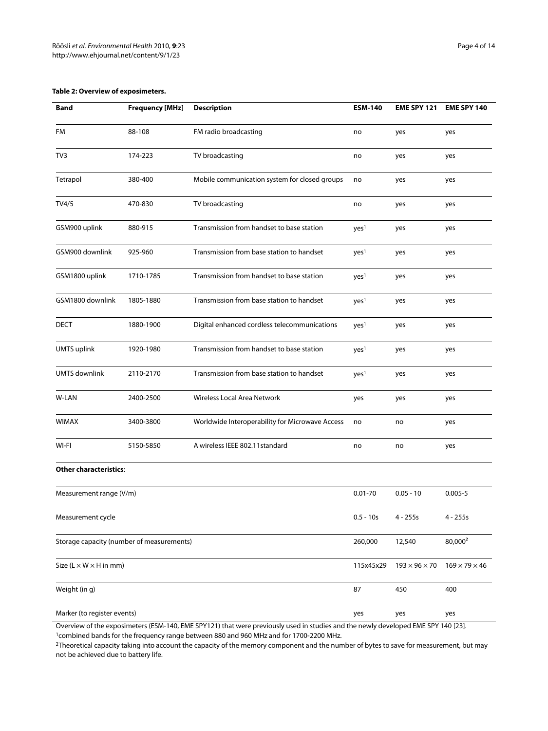# <span id="page-3-0"></span>**Table 2: Overview of exposimeters.**

| Band                               | <b>Frequency [MHz]</b>                    | <b>Description</b>                                                   | <b>ESM-140</b>   | <b>EME SPY 121</b>        | <b>EME SPY 140</b>        |  |
|------------------------------------|-------------------------------------------|----------------------------------------------------------------------|------------------|---------------------------|---------------------------|--|
| FM                                 | 88-108                                    | FM radio broadcasting                                                | no               | yes                       | yes                       |  |
| TV <sub>3</sub>                    | 174-223                                   | TV broadcasting                                                      | no               | yes                       | yes                       |  |
| Tetrapol                           | 380-400                                   | Mobile communication system for closed groups                        | no<br>yes        |                           | yes                       |  |
| TV4/5                              | 470-830                                   | TV broadcasting                                                      | no               | yes                       | yes                       |  |
| GSM900 uplink                      | 880-915                                   | Transmission from handset to base station                            | yes <sup>1</sup> | yes                       | yes                       |  |
| GSM900 downlink                    | 925-960                                   | Transmission from base station to handset                            | yes <sup>1</sup> | yes                       | yes                       |  |
| GSM1800 uplink                     | 1710-1785                                 | Transmission from handset to base station                            | yes <sup>1</sup> | yes                       | yes                       |  |
| GSM1800 downlink                   | 1805-1880                                 | Transmission from base station to handset                            | yes <sup>1</sup> | yes                       | yes                       |  |
| <b>DECT</b>                        | 1880-1900                                 | Digital enhanced cordless telecommunications                         | yes <sup>1</sup> | yes                       | yes                       |  |
| <b>UMTS uplink</b>                 | 1920-1980                                 | Transmission from handset to base station<br>yes <sup>1</sup><br>yes |                  |                           | yes                       |  |
| <b>UMTS downlink</b>               | 2110-2170                                 | Transmission from base station to handset                            | yes <sup>1</sup> | yes                       | yes                       |  |
| W-LAN                              | 2400-2500                                 | Wireless Local Area Network                                          | yes              | yes                       | yes                       |  |
| <b>WIMAX</b>                       | 3400-3800                                 | Worldwide Interoperability for Microwave Access                      | no               | no                        | yes                       |  |
| WI-FI                              | 5150-5850                                 | A wireless IEEE 802.11standard                                       | no               | no                        | yes                       |  |
| <b>Other characteristics:</b>      |                                           |                                                                      |                  |                           |                           |  |
| Measurement range (V/m)            |                                           |                                                                      | $0.01 - 70$      | $0.05 - 10$               | $0.005 - 5$               |  |
| Measurement cycle                  |                                           |                                                                      | $0.5 - 10s$      | $4 - 255s$                | $4 - 255s$                |  |
|                                    | Storage capacity (number of measurements) |                                                                      | 260,000          | 12,540                    | 80,000 <sup>2</sup>       |  |
| Size $(L \times W \times H$ in mm) |                                           |                                                                      | 115x45x29        | $193 \times 96 \times 70$ | $169 \times 79 \times 46$ |  |
| Weight (in g)                      |                                           |                                                                      | 87               | 450                       | 400                       |  |
| Marker (to register events)        |                                           |                                                                      | yes              | yes                       | yes                       |  |

Overview of the exposimeters (ESM-140, EME SPY121) that were previously used in studies and the newly developed EME SPY 140 [[23](#page-13-4)]. 1combined bands for the frequency range between 880 and 960 MHz and for 1700-2200 MHz.

<sup>2</sup>Theoretical capacity taking into account the capacity of the memory component and the number of bytes to save for measurement, but may not be achieved due to battery life.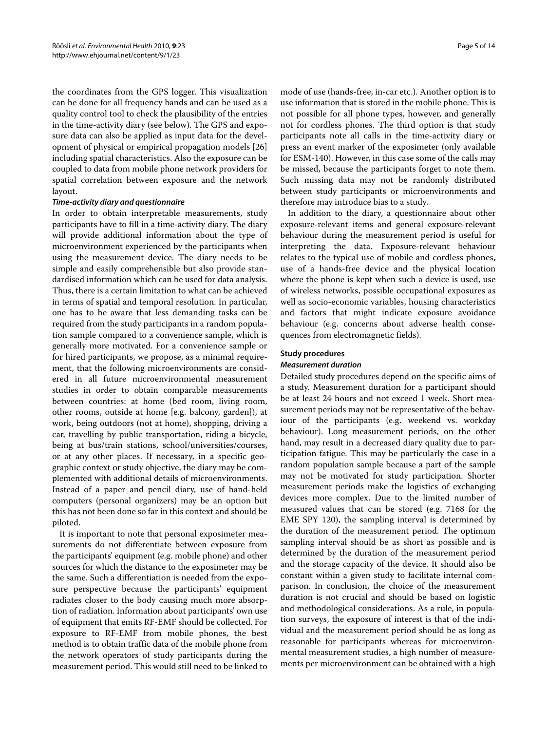the coordinates from the GPS logger. This visualization can be done for all frequency bands and can be used as a quality control tool to check the plausibility of the entries in the time-activity diary (see below). The GPS and exposure data can also be applied as input data for the development of physical or empirical propagation models [[26](#page-13-7)] including spatial characteristics. Also the exposure can be coupled to data from mobile phone network providers for spatial correlation between exposure and the network layout.

# **Time-activity diary and questionnaire**

In order to obtain interpretable measurements, study participants have to fill in a time-activity diary. The diary will provide additional information about the type of microenvironment experienced by the participants when using the measurement device. The diary needs to be simple and easily comprehensible but also provide standardised information which can be used for data analysis. Thus, there is a certain limitation to what can be achieved in terms of spatial and temporal resolution. In particular, one has to be aware that less demanding tasks can be required from the study participants in a random population sample compared to a convenience sample, which is generally more motivated. For a convenience sample or for hired participants, we propose, as a minimal requirement, that the following microenvironments are considered in all future microenvironmental measurement studies in order to obtain comparable measurements between countries: at home (bed room, living room, other rooms, outside at home [e.g. balcony, garden]), at work, being outdoors (not at home), shopping, driving a car, travelling by public transportation, riding a bicycle, being at bus/train stations, school/universities/courses, or at any other places. If necessary, in a specific geographic context or study objective, the diary may be complemented with additional details of microenvironments. Instead of a paper and pencil diary, use of hand-held computers (personal organizers) may be an option but this has not been done so far in this context and should be piloted.

It is important to note that personal exposimeter measurements do not differentiate between exposure from the participants' equipment (e.g. mobile phone) and other sources for which the distance to the exposimeter may be the same. Such a differentiation is needed from the exposure perspective because the participants' equipment radiates closer to the body causing much more absorption of radiation. Information about participants' own use of equipment that emits RF-EMF should be collected. For exposure to RF-EMF from mobile phones, the best method is to obtain traffic data of the mobile phone from the network operators of study participants during the measurement period. This would still need to be linked to

mode of use (hands-free, in-car etc.). Another option is to use information that is stored in the mobile phone. This is not possible for all phone types, however, and generally not for cordless phones. The third option is that study participants note all calls in the time-activity diary or press an event marker of the exposimeter (only available for ESM-140). However, in this case some of the calls may be missed, because the participants forget to note them. Such missing data may not be randomly distributed between study participants or microenvironments and therefore may introduce bias to a study.

In addition to the diary, a questionnaire about other exposure-relevant items and general exposure-relevant behaviour during the measurement period is useful for interpreting the data. Exposure-relevant behaviour relates to the typical use of mobile and cordless phones, use of a hands-free device and the physical location where the phone is kept when such a device is used, use of wireless networks, possible occupational exposures as well as socio-economic variables, housing characteristics and factors that might indicate exposure avoidance behaviour (e.g. concerns about adverse health consequences from electromagnetic fields).

# **Study procedures**

# **Measurement duration**

Detailed study procedures depend on the specific aims of a study. Measurement duration for a participant should be at least 24 hours and not exceed 1 week. Short measurement periods may not be representative of the behaviour of the participants (e.g. weekend vs. workday behaviour). Long measurement periods, on the other hand, may result in a decreased diary quality due to participation fatigue. This may be particularly the case in a random population sample because a part of the sample may not be motivated for study participation. Shorter measurement periods make the logistics of exchanging devices more complex. Due to the limited number of measured values that can be stored (e.g. 7168 for the EME SPY 120), the sampling interval is determined by the duration of the measurement period. The optimum sampling interval should be as short as possible and is determined by the duration of the measurement period and the storage capacity of the device. It should also be constant within a given study to facilitate internal comparison. In conclusion, the choice of the measurement duration is not crucial and should be based on logistic and methodological considerations. As a rule, in population surveys, the exposure of interest is that of the individual and the measurement period should be as long as reasonable for participants whereas for microenvironmental measurement studies, a high number of measurements per microenvironment can be obtained with a high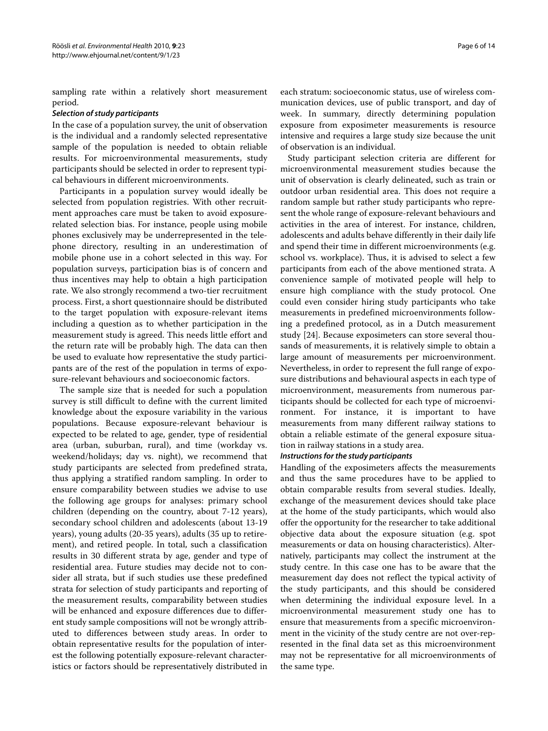sampling rate within a relatively short measurement period.

#### **Selection of study participants**

In the case of a population survey, the unit of observation is the individual and a randomly selected representative sample of the population is needed to obtain reliable results. For microenvironmental measurements, study participants should be selected in order to represent typical behaviours in different microenvironments.

Participants in a population survey would ideally be selected from population registries. With other recruitment approaches care must be taken to avoid exposurerelated selection bias. For instance, people using mobile phones exclusively may be underrepresented in the telephone directory, resulting in an underestimation of mobile phone use in a cohort selected in this way. For population surveys, participation bias is of concern and thus incentives may help to obtain a high participation rate. We also strongly recommend a two-tier recruitment process. First, a short questionnaire should be distributed to the target population with exposure-relevant items including a question as to whether participation in the measurement study is agreed. This needs little effort and the return rate will be probably high. The data can then be used to evaluate how representative the study participants are of the rest of the population in terms of exposure-relevant behaviours and socioeconomic factors.

The sample size that is needed for such a population survey is still difficult to define with the current limited knowledge about the exposure variability in the various populations. Because exposure-relevant behaviour is expected to be related to age, gender, type of residential area (urban, suburban, rural), and time (workday vs. weekend/holidays; day vs. night), we recommend that study participants are selected from predefined strata, thus applying a stratified random sampling. In order to ensure comparability between studies we advise to use the following age groups for analyses: primary school children (depending on the country, about 7-12 years), secondary school children and adolescents (about 13-19 years), young adults (20-35 years), adults (35 up to retirement), and retired people. In total, such a classification results in 30 different strata by age, gender and type of residential area. Future studies may decide not to consider all strata, but if such studies use these predefined strata for selection of study participants and reporting of the measurement results, comparability between studies will be enhanced and exposure differences due to different study sample compositions will not be wrongly attributed to differences between study areas. In order to obtain representative results for the population of interest the following potentially exposure-relevant characteristics or factors should be representatively distributed in

each stratum: socioeconomic status, use of wireless communication devices, use of public transport, and day of week. In summary, directly determining population exposure from exposimeter measurements is resource intensive and requires a large study size because the unit of observation is an individual.

Study participant selection criteria are different for microenvironmental measurement studies because the unit of observation is clearly delineated, such as train or outdoor urban residential area. This does not require a random sample but rather study participants who represent the whole range of exposure-relevant behaviours and activities in the area of interest. For instance, children, adolescents and adults behave differently in their daily life and spend their time in different microenvironments (e.g. school vs. workplace). Thus, it is advised to select a few participants from each of the above mentioned strata. A convenience sample of motivated people will help to ensure high compliance with the study protocol. One could even consider hiring study participants who take measurements in predefined microenvironments following a predefined protocol, as in a Dutch measurement study [[24\]](#page-13-5). Because exposimeters can store several thousands of measurements, it is relatively simple to obtain a large amount of measurements per microenvironment. Nevertheless, in order to represent the full range of exposure distributions and behavioural aspects in each type of microenvironment, measurements from numerous participants should be collected for each type of microenvironment. For instance, it is important to have measurements from many different railway stations to obtain a reliable estimate of the general exposure situation in railway stations in a study area.

# **Instructions for the study participants**

Handling of the exposimeters affects the measurements and thus the same procedures have to be applied to obtain comparable results from several studies. Ideally, exchange of the measurement devices should take place at the home of the study participants, which would also offer the opportunity for the researcher to take additional objective data about the exposure situation (e.g. spot measurements or data on housing characteristics). Alternatively, participants may collect the instrument at the study centre. In this case one has to be aware that the measurement day does not reflect the typical activity of the study participants, and this should be considered when determining the individual exposure level. In a microenvironmental measurement study one has to ensure that measurements from a specific microenvironment in the vicinity of the study centre are not over-represented in the final data set as this microenvironment may not be representative for all microenvironments of the same type.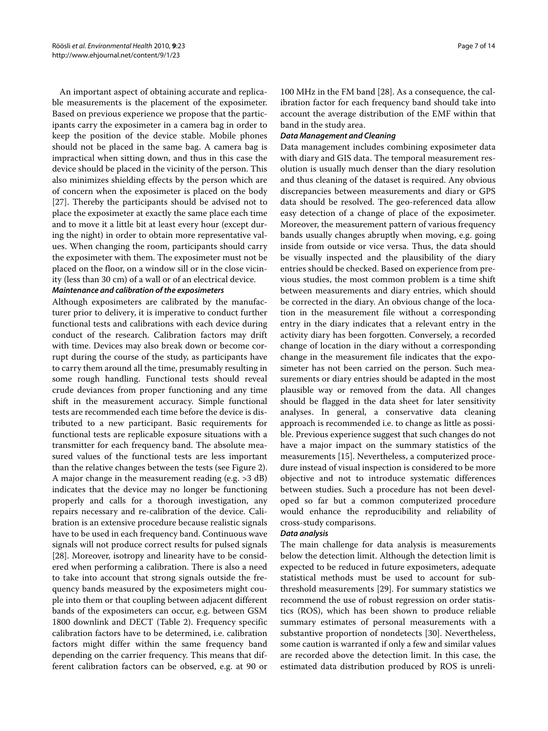An important aspect of obtaining accurate and replicable measurements is the placement of the exposimeter. Based on previous experience we propose that the participants carry the exposimeter in a camera bag in order to keep the position of the device stable. Mobile phones should not be placed in the same bag. A camera bag is impractical when sitting down, and thus in this case the device should be placed in the vicinity of the person. This also minimizes shielding effects by the person which are of concern when the exposimeter is placed on the body [[27\]](#page-13-8). Thereby the participants should be advised not to place the exposimeter at exactly the same place each time and to move it a little bit at least every hour (except during the night) in order to obtain more representative values. When changing the room, participants should carry the exposimeter with them. The exposimeter must not be placed on the floor, on a window sill or in the close vicinity (less than 30 cm) of a wall or of an electrical device.

# **Maintenance and calibration of the exposimeters**

Although exposimeters are calibrated by the manufacturer prior to delivery, it is imperative to conduct further functional tests and calibrations with each device during conduct of the research. Calibration factors may drift with time. Devices may also break down or become corrupt during the course of the study, as participants have to carry them around all the time, presumably resulting in some rough handling. Functional tests should reveal crude deviances from proper functioning and any time shift in the measurement accuracy. Simple functional tests are recommended each time before the device is distributed to a new participant. Basic requirements for functional tests are replicable exposure situations with a transmitter for each frequency band. The absolute measured values of the functional tests are less important than the relative changes between the tests (see Figure [2](#page-7-0)). A major change in the measurement reading (e.g. >3 dB) indicates that the device may no longer be functioning properly and calls for a thorough investigation, any repairs necessary and re-calibration of the device. Calibration is an extensive procedure because realistic signals have to be used in each frequency band. Continuous wave signals will not produce correct results for pulsed signals [[28\]](#page-13-9). Moreover, isotropy and linearity have to be considered when performing a calibration. There is also a need to take into account that strong signals outside the frequency bands measured by the exposimeters might couple into them or that coupling between adjacent different bands of the exposimeters can occur, e.g. between GSM 1800 downlink and DECT (Table [2](#page-3-0)). Frequency specific calibration factors have to be determined, i.e. calibration factors might differ within the same frequency band depending on the carrier frequency. This means that different calibration factors can be observed, e.g. at 90 or

100 MHz in the FM band [\[28](#page-13-9)]. As a consequence, the calibration factor for each frequency band should take into account the average distribution of the EMF within that band in the study area.

#### **Data Management and Cleaning**

Data management includes combining exposimeter data with diary and GIS data. The temporal measurement resolution is usually much denser than the diary resolution and thus cleaning of the dataset is required. Any obvious discrepancies between measurements and diary or GPS data should be resolved. The geo-referenced data allow easy detection of a change of place of the exposimeter. Moreover, the measurement pattern of various frequency bands usually changes abruptly when moving, e.g. going inside from outside or vice versa. Thus, the data should be visually inspected and the plausibility of the diary entries should be checked. Based on experience from previous studies, the most common problem is a time shift between measurements and diary entries, which should be corrected in the diary. An obvious change of the location in the measurement file without a corresponding entry in the diary indicates that a relevant entry in the activity diary has been forgotten. Conversely, a recorded change of location in the diary without a corresponding change in the measurement file indicates that the exposimeter has not been carried on the person. Such measurements or diary entries should be adapted in the most plausible way or removed from the data. All changes should be flagged in the data sheet for later sensitivity analyses. In general, a conservative data cleaning approach is recommended i.e. to change as little as possible. Previous experience suggest that such changes do not have a major impact on the summary statistics of the measurements [\[15](#page-13-10)]. Nevertheless, a computerized procedure instead of visual inspection is considered to be more objective and not to introduce systematic differences between studies. Such a procedure has not been developed so far but a common computerized procedure would enhance the reproducibility and reliability of cross-study comparisons.

#### **Data analysis**

The main challenge for data analysis is measurements below the detection limit. Although the detection limit is expected to be reduced in future exposimeters, adequate statistical methods must be used to account for subthreshold measurements [\[29](#page-13-11)]. For summary statistics we recommend the use of robust regression on order statistics (ROS), which has been shown to produce reliable summary estimates of personal measurements with a substantive proportion of nondetects [\[30\]](#page-13-12). Nevertheless, some caution is warranted if only a few and similar values are recorded above the detection limit. In this case, the estimated data distribution produced by ROS is unreli-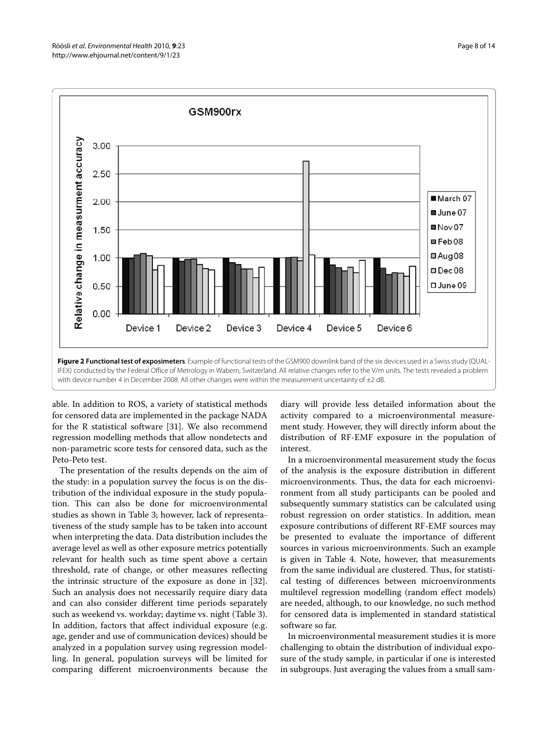<span id="page-7-0"></span>

able. In addition to ROS, a variety of statistical methods for censored data are implemented in the package NADA for the R statistical software [\[31\]](#page-13-13). We also recommend regression modelling methods that allow nondetects and non-parametric score tests for censored data, such as the Peto-Peto test.

The presentation of the results depends on the aim of the study: in a population survey the focus is on the distribution of the individual exposure in the study population. This can also be done for microenvironmental studies as shown in Table 3; however, lack of representativeness of the study sample has to be taken into account when interpreting the data. Data distribution includes the average level as well as other exposure metrics potentially relevant for health such as time spent above a certain threshold, rate of change, or other measures reflecting the intrinsic structure of the exposure as done in [\[32](#page-13-14)]. Such an analysis does not necessarily require diary data and can also consider different time periods separately such as weekend vs. workday; daytime vs. night (Table 3). In addition, factors that affect individual exposure (e.g. age, gender and use of communication devices) should be analyzed in a population survey using regression modelling. In general, population surveys will be limited for comparing different microenvironments because the

diary will provide less detailed information about the activity compared to a microenvironmental measurement study. However, they will directly inform about the distribution of RF-EMF exposure in the population of interest.

In a microenvironmental measurement study the focus of the analysis is the exposure distribution in different microenvironments. Thus, the data for each microenvironment from all study participants can be pooled and subsequently summary statistics can be calculated using robust regression on order statistics. In addition, mean exposure contributions of different RF-EMF sources may be presented to evaluate the importance of different sources in various microenvironments. Such an example is given in Table 4. Note, however, that measurements from the same individual are clustered. Thus, for statistical testing of differences between microenvironments multilevel regression modelling (random effect models) are needed, although, to our knowledge, no such method for censored data is implemented in standard statistical software so far.

In microenvironmental measurement studies it is more challenging to obtain the distribution of individual exposure of the study sample, in particular if one is interested in subgroups. Just averaging the values from a small sam-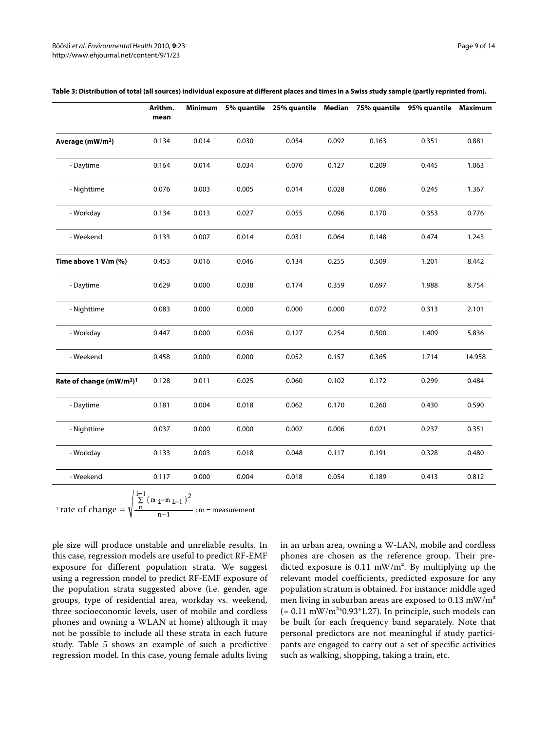|                                                  | Arithm.<br>mean |          |       | Minimum 5% quantile 25% quantile Median 75% quantile 95% quantile Maximum |       |       |       |        |
|--------------------------------------------------|-----------------|----------|-------|---------------------------------------------------------------------------|-------|-------|-------|--------|
| Average (mW/m <sup>2</sup> )                     | 0.134           | 0.014    | 0.030 | 0.054                                                                     | 0.092 | 0.163 | 0.351 | 0.881  |
| - Daytime                                        | 0.164           | 0.014    | 0.034 | 0.070                                                                     | 0.127 | 0.209 | 0.445 | 1.063  |
| - Nighttime                                      | 0.076           | 0.003    | 0.005 | 0.014                                                                     | 0.028 | 0.086 | 0.245 | 1.367  |
| - Workday                                        | 0.134           | 0.013    | 0.027 | 0.055                                                                     | 0.096 | 0.170 | 0.353 | 0.776  |
| - Weekend                                        | 0.133           | 0.007    | 0.014 | 0.031                                                                     | 0.064 | 0.148 | 0.474 | 1.243  |
| Time above 1 V/m (%)                             | 0.453           | 0.016    | 0.046 | 0.134                                                                     | 0.255 | 0.509 | 1.201 | 8.442  |
| - Daytime                                        | 0.629           | 0.000    | 0.038 | 0.174                                                                     | 0.359 | 0.697 | 1.988 | 8.754  |
| - Nighttime                                      | 0.083           | 0.000    | 0.000 | 0.000                                                                     | 0.000 | 0.072 | 0.313 | 2.101  |
| - Workday                                        | 0.447           | 0.000    | 0.036 | 0.127                                                                     | 0.254 | 0.500 | 1.409 | 5.836  |
| - Weekend                                        | 0.458           | 0.000    | 0.000 | 0.052                                                                     | 0.157 | 0.365 | 1.714 | 14.958 |
| Rate of change (mW/m <sup>2</sup> ) <sup>1</sup> | 0.128           | 0.011    | 0.025 | 0.060                                                                     | 0.102 | 0.172 | 0.299 | 0.484  |
| - Daytime                                        | 0.181           | 0.004    | 0.018 | 0.062                                                                     | 0.170 | 0.260 | 0.430 | 0.590  |
| - Nighttime                                      | 0.037           | 0.000    | 0.000 | 0.002                                                                     | 0.006 | 0.021 | 0.237 | 0.351  |
| - Workday                                        | 0.133           | 0.003    | 0.018 | 0.048                                                                     | 0.117 | 0.191 | 0.328 | 0.480  |
| - Weekend                                        | 0.117           | 0.000    | 0.004 | 0.018                                                                     | 0.054 | 0.189 | 0.413 | 0.812  |
| $i=1$                                            |                 | $\gamma$ |       |                                                                           |       |       |       |        |

#### **Table 3: Distribution of total (all sources) individual exposure at different places and times in a Swiss study sample (partly reprinted from).**

<sup>1</sup> rate of change =  $\sqrt{\frac{n}{n-1}}$  ; m = measurement  $\bar{\bar{\Sigma}}^1$ (m  $_{\texttt{i}}$ -m  $_{\texttt{i}-1}$ ) −  $\sum\limits_{n=1}^{n-1}$  ( m  $_{\mathrm{i}}$  – m  $_{\mathrm{i}}$ n  $\int_{0}^{1} (\mathbf{m}_{i} - \mathbf{m}_{i-1})^{2}$ 1

ple size will produce unstable and unreliable results. In this case, regression models are useful to predict RF-EMF exposure for different population strata. We suggest using a regression model to predict RF-EMF exposure of the population strata suggested above (i.e. gender, age groups, type of residential area, workday vs. weekend, three socioeconomic levels, user of mobile and cordless phones and owning a WLAN at home) although it may not be possible to include all these strata in each future study. Table 5 shows an example of such a predictive regression model. In this case, young female adults living in an urban area, owning a W-LAN, mobile and cordless phones are chosen as the reference group. Their predicted exposure is 0.11 mW/m². By multiplying up the relevant model coefficients, predicted exposure for any population stratum is obtained. For instance: middle aged men living in suburban areas are exposed to 0.13 mW/m²  $(= 0.11 \text{ mW/m}^{2*}0.93*1.27)$ . In principle, such models can be built for each frequency band separately. Note that personal predictors are not meaningful if study participants are engaged to carry out a set of specific activities such as walking, shopping, taking a train, etc.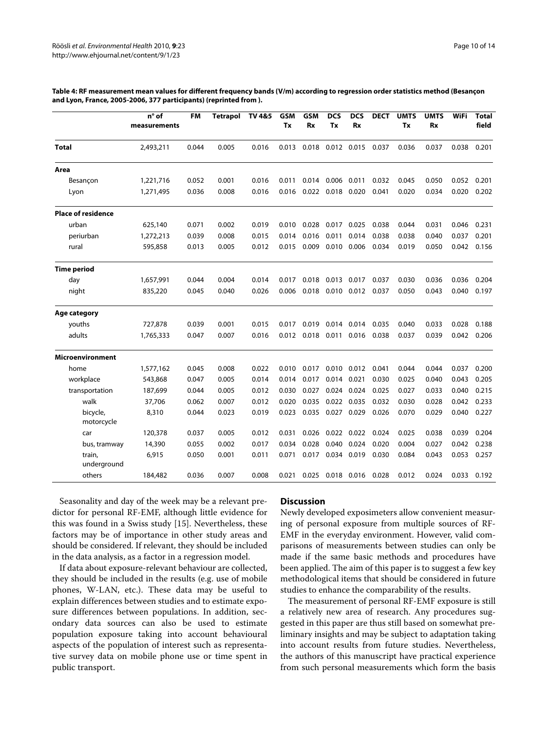|                           | $n^{\circ}$ of<br>measurements | <b>FM</b> | Tetrapol | TV 4&5 | <b>GSM</b><br>Tx | <b>GSM</b><br><b>Rx</b> | <b>DCS</b><br>Tx        | <b>DCS</b><br><b>Rx</b> | <b>DECT</b> | <b>UMTS</b><br>Tx | <b>UMTS</b><br>Rx | <b>WiFi</b> | <b>Total</b><br>field |
|---------------------------|--------------------------------|-----------|----------|--------|------------------|-------------------------|-------------------------|-------------------------|-------------|-------------------|-------------------|-------------|-----------------------|
| <b>Total</b>              | 2,493,211                      | 0.044     | 0.005    | 0.016  | 0.013            | 0.018                   |                         | 0.012 0.015             | 0.037       | 0.036             | 0.037             | 0.038       | 0.201                 |
| Area                      |                                |           |          |        |                  |                         |                         |                         |             |                   |                   |             |                       |
| Besançon                  | 1,221,716                      | 0.052     | 0.001    | 0.016  | 0.011            | 0.014                   | 0.006                   | 0.011                   | 0.032       | 0.045             | 0.050             | 0.052       | 0.201                 |
| Lyon                      | 1,271,495                      | 0.036     | 0.008    | 0.016  | 0.016            | 0.022                   |                         | 0.018 0.020             | 0.041       | 0.020             | 0.034             | 0.020       | 0.202                 |
| <b>Place of residence</b> |                                |           |          |        |                  |                         |                         |                         |             |                   |                   |             |                       |
| urban                     | 625,140                        | 0.071     | 0.002    | 0.019  | 0.010            | 0.028                   | 0.017                   | 0.025                   | 0.038       | 0.044             | 0.031             | 0.046       | 0.231                 |
| periurban                 | 1,272,213                      | 0.039     | 0.008    | 0.015  | 0.014            | 0.016                   | 0.011                   | 0.014                   | 0.038       | 0.038             | 0.040             | 0.037       | 0.201                 |
| rural                     | 595,858                        | 0.013     | 0.005    | 0.012  | 0.015            | 0.009                   | 0.010                   | 0.006                   | 0.034       | 0.019             | 0.050             | 0.042       | 0.156                 |
| <b>Time period</b>        |                                |           |          |        |                  |                         |                         |                         |             |                   |                   |             |                       |
| day                       | 1,657,991                      | 0.044     | 0.004    | 0.014  | 0.017            | 0.018                   | 0.013                   | 0.017                   | 0.037       | 0.030             | 0.036             | 0.036       | 0.204                 |
| night                     | 835,220                        | 0.045     | 0.040    | 0.026  | 0.006            | 0.018                   |                         | 0.010 0.012             | 0.037       | 0.050             | 0.043             | 0.040       | 0.197                 |
| Age category              |                                |           |          |        |                  |                         |                         |                         |             |                   |                   |             |                       |
| youths                    | 727,878                        | 0.039     | 0.001    | 0.015  | 0.017            | 0.019                   | 0.014                   | 0.014                   | 0.035       | 0.040             | 0.033             | 0.028       | 0.188                 |
| adults                    | 1,765,333                      | 0.047     | 0.007    | 0.016  |                  | 0.012 0.018             |                         | 0.011 0.016             | 0.038       | 0.037             | 0.039             | 0.042       | 0.206                 |
| Microenvironment          |                                |           |          |        |                  |                         |                         |                         |             |                   |                   |             |                       |
| home                      | 1,577,162                      | 0.045     | 0.008    | 0.022  | 0.010            | 0.017                   |                         | 0.010 0.012             | 0.041       | 0.044             | 0.044             | 0.037       | 0.200                 |
| workplace                 | 543,868                        | 0.047     | 0.005    | 0.014  | 0.014            | 0.017                   | 0.014                   | 0.021                   | 0.030       | 0.025             | 0.040             | 0.043       | 0.205                 |
| transportation            | 187,699                        | 0.044     | 0.005    | 0.012  | 0.030            | 0.027                   |                         | 0.024 0.024             | 0.025       | 0.027             | 0.033             | 0.040       | 0.215                 |
| walk                      | 37,706                         | 0.062     | 0.007    | 0.012  | 0.020            | 0.035                   |                         | 0.022 0.035             | 0.032       | 0.030             | 0.028             | 0.042       | 0.233                 |
| bicycle,<br>motorcycle    | 8,310                          | 0.044     | 0.023    | 0.019  | 0.023            | 0.035                   | 0.027 0.029             |                         | 0.026       | 0.070             | 0.029             | 0.040       | 0.227                 |
| car                       | 120,378                        | 0.037     | 0.005    | 0.012  | 0.031            | 0.026                   | 0.022                   | 0.022                   | 0.024       | 0.025             | 0.038             | 0.039       | 0.204                 |
| bus, tramway              | 14,390                         | 0.055     | 0.002    | 0.017  | 0.034            | 0.028                   | 0.040                   | 0.024                   | 0.020       | 0.004             | 0.027             | 0.042       | 0.238                 |
| train,<br>underground     | 6,915                          | 0.050     | 0.001    | 0.011  | 0.071            | 0.017                   |                         | 0.034 0.019             | 0.030       | 0.084             | 0.043             | 0.053       | 0.257                 |
| others                    | 184,482                        | 0.036     | 0.007    | 0.008  | 0.021            |                         | 0.025 0.018 0.016 0.028 |                         |             | 0.012             | 0.024             |             | 0.033 0.192           |

**Table 4: RF measurement mean values for different frequency bands (V/m) according to regression order statistics method (Besançon and Lyon, France, 2005-2006, 377 participants) (reprinted from ).**

Seasonality and day of the week may be a relevant predictor for personal RF-EMF, although little evidence for this was found in a Swiss study [[15](#page-13-10)]. Nevertheless, these factors may be of importance in other study areas and should be considered. If relevant, they should be included in the data analysis, as a factor in a regression model.

If data about exposure-relevant behaviour are collected, they should be included in the results (e.g. use of mobile phones, W-LAN, etc.). These data may be useful to explain differences between studies and to estimate exposure differences between populations. In addition, secondary data sources can also be used to estimate population exposure taking into account behavioural aspects of the population of interest such as representative survey data on mobile phone use or time spent in public transport.

# **Discussion**

Newly developed exposimeters allow convenient measuring of personal exposure from multiple sources of RF-EMF in the everyday environment. However, valid comparisons of measurements between studies can only be made if the same basic methods and procedures have been applied. The aim of this paper is to suggest a few key methodological items that should be considered in future studies to enhance the comparability of the results.

The measurement of personal RF-EMF exposure is still a relatively new area of research. Any procedures suggested in this paper are thus still based on somewhat preliminary insights and may be subject to adaptation taking into account results from future studies. Nevertheless, the authors of this manuscript have practical experience from such personal measurements which form the basis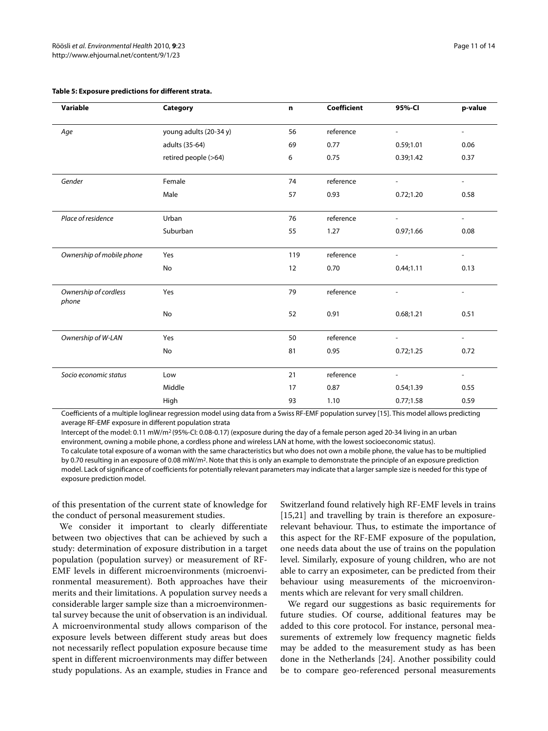#### **Table 5: Exposure predictions for different strata.**

| Variable                       | Category               | n   | <b>Coefficient</b> | 95%-CI                   | p-value                  |
|--------------------------------|------------------------|-----|--------------------|--------------------------|--------------------------|
| Age                            | young adults (20-34 y) | 56  | reference          |                          | $\sim$                   |
|                                | adults (35-64)         | 69  | 0.77               | 0.59;1.01                | 0.06                     |
|                                | retired people (>64)   | 6   | 0.75               | 0.39;1.42                | 0.37                     |
| Gender                         | Female                 | 74  | reference          |                          | $\overline{\phantom{a}}$ |
|                                | Male                   | 57  | 0.93               | 0.72;1.20                | 0.58                     |
| Place of residence             | Urban                  | 76  | reference          | $\overline{\phantom{a}}$ | $\overline{\phantom{a}}$ |
|                                | Suburban               | 55  | 1.27               | 0.97;1.66                | 0.08                     |
| Ownership of mobile phone      | Yes                    | 119 | reference          |                          | $\blacksquare$           |
|                                | No                     | 12  | 0.70               | 0.44;1.11                | 0.13                     |
| Ownership of cordless<br>phone | Yes                    | 79  | reference          | $\overline{\phantom{a}}$ | $\overline{\phantom{a}}$ |
|                                | No                     | 52  | 0.91               | 0.68;1.21                | 0.51                     |
| Ownership of W-LAN             | Yes                    | 50  | reference          | $\overline{a}$           | $\overline{\phantom{a}}$ |
|                                | No                     | 81  | 0.95               | 0.72;1.25                | 0.72                     |
| Socio economic status          | Low                    | 21  | reference          | $\overline{\phantom{a}}$ | $\overline{\phantom{a}}$ |
|                                | Middle                 | 17  | 0.87               | 0.54;1.39                | 0.55                     |
|                                | High                   | 93  | 1.10               | 0.77;1.58                | 0.59                     |

Coefficients of a multiple loglinear regression model using data from a Swiss RF-EMF population survey [[15\]](#page-13-10). This model allows predicting average RF-EMF exposure in different population strata

Intercept of the model: 0.11 mW/m2 (95%-CI: 0.08-0.17) (exposure during the day of a female person aged 20-34 living in an urban environment, owning a mobile phone, a cordless phone and wireless LAN at home, with the lowest socioeconomic status).

To calculate total exposure of a woman with the same characteristics but who does not own a mobile phone, the value has to be multiplied by 0.70 resulting in an exposure of 0.08 mW/m2. Note that this is only an example to demonstrate the principle of an exposure prediction model. Lack of significance of coefficients for potentially relevant parameters may indicate that a larger sample size is needed for this type of exposure prediction model.

of this presentation of the current state of knowledge for the conduct of personal measurement studies.

We consider it important to clearly differentiate between two objectives that can be achieved by such a study: determination of exposure distribution in a target population (population survey) or measurement of RF-EMF levels in different microenvironments (microenvironmental measurement). Both approaches have their merits and their limitations. A population survey needs a considerable larger sample size than a microenvironmental survey because the unit of observation is an individual. A microenvironmental study allows comparison of the exposure levels between different study areas but does not necessarily reflect population exposure because time spent in different microenvironments may differ between study populations. As an example, studies in France and Switzerland found relatively high RF-EMF levels in trains [[15,](#page-13-10)[21\]](#page-13-1) and travelling by train is therefore an exposurerelevant behaviour. Thus, to estimate the importance of this aspect for the RF-EMF exposure of the population, one needs data about the use of trains on the population level. Similarly, exposure of young children, who are not able to carry an exposimeter, can be predicted from their behaviour using measurements of the microenvironments which are relevant for very small children.

We regard our suggestions as basic requirements for future studies. Of course, additional features may be added to this core protocol. For instance, personal measurements of extremely low frequency magnetic fields may be added to the measurement study as has been done in the Netherlands [\[24\]](#page-13-5). Another possibility could be to compare geo-referenced personal measurements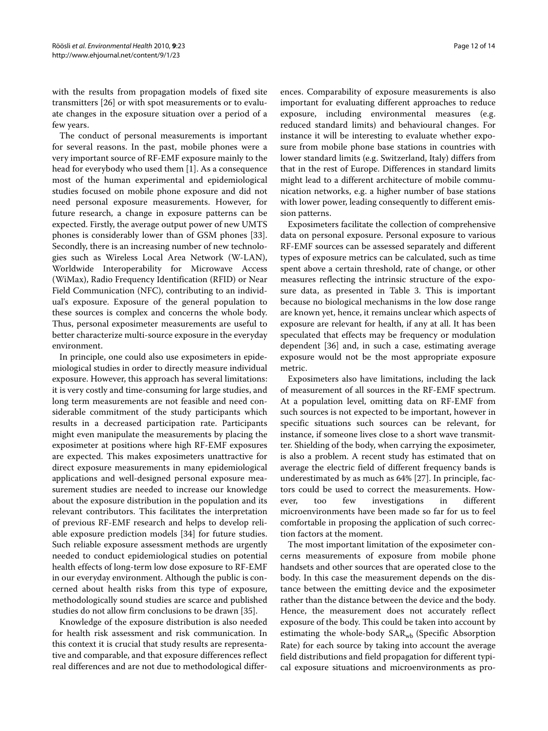with the results from propagation models of fixed site transmitters [\[26](#page-13-7)] or with spot measurements or to evaluate changes in the exposure situation over a period of a few years.

The conduct of personal measurements is important for several reasons. In the past, mobile phones were a very important source of RF-EMF exposure mainly to the head for everybody who used them [\[1](#page-12-0)]. As a consequence most of the human experimental and epidemiological studies focused on mobile phone exposure and did not need personal exposure measurements. However, for future research, a change in exposure patterns can be expected. Firstly, the average output power of new UMTS phones is considerably lower than of GSM phones [\[33](#page-13-15)]. Secondly, there is an increasing number of new technologies such as Wireless Local Area Network (W-LAN), Worldwide Interoperability for Microwave Access (WiMax), Radio Frequency Identification (RFID) or Near Field Communication (NFC), contributing to an individual's exposure. Exposure of the general population to these sources is complex and concerns the whole body. Thus, personal exposimeter measurements are useful to better characterize multi-source exposure in the everyday environment.

In principle, one could also use exposimeters in epidemiological studies in order to directly measure individual exposure. However, this approach has several limitations: it is very costly and time-consuming for large studies, and long term measurements are not feasible and need considerable commitment of the study participants which results in a decreased participation rate. Participants might even manipulate the measurements by placing the exposimeter at positions where high RF-EMF exposures are expected. This makes exposimeters unattractive for direct exposure measurements in many epidemiological applications and well-designed personal exposure measurement studies are needed to increase our knowledge about the exposure distribution in the population and its relevant contributors. This facilitates the interpretation of previous RF-EMF research and helps to develop reliable exposure prediction models [\[34](#page-13-16)] for future studies. Such reliable exposure assessment methods are urgently needed to conduct epidemiological studies on potential health effects of long-term low dose exposure to RF-EMF in our everyday environment. Although the public is concerned about health risks from this type of exposure, methodologically sound studies are scarce and published studies do not allow firm conclusions to be drawn [[35\]](#page-13-17).

Knowledge of the exposure distribution is also needed for health risk assessment and risk communication. In this context it is crucial that study results are representative and comparable, and that exposure differences reflect real differences and are not due to methodological differ-

ences. Comparability of exposure measurements is also important for evaluating different approaches to reduce exposure, including environmental measures (e.g. reduced standard limits) and behavioural changes. For instance it will be interesting to evaluate whether exposure from mobile phone base stations in countries with lower standard limits (e.g. Switzerland, Italy) differs from that in the rest of Europe. Differences in standard limits might lead to a different architecture of mobile communication networks, e.g. a higher number of base stations with lower power, leading consequently to different emission patterns.

Exposimeters facilitate the collection of comprehensive data on personal exposure. Personal exposure to various RF-EMF sources can be assessed separately and different types of exposure metrics can be calculated, such as time spent above a certain threshold, rate of change, or other measures reflecting the intrinsic structure of the exposure data, as presented in Table 3. This is important because no biological mechanisms in the low dose range are known yet, hence, it remains unclear which aspects of exposure are relevant for health, if any at all. It has been speculated that effects may be frequency or modulation dependent [\[36](#page-13-18)] and, in such a case, estimating average exposure would not be the most appropriate exposure metric.

Exposimeters also have limitations, including the lack of measurement of all sources in the RF-EMF spectrum. At a population level, omitting data on RF-EMF from such sources is not expected to be important, however in specific situations such sources can be relevant, for instance, if someone lives close to a short wave transmitter. Shielding of the body, when carrying the exposimeter, is also a problem. A recent study has estimated that on average the electric field of different frequency bands is underestimated by as much as 64% [\[27\]](#page-13-8). In principle, factors could be used to correct the measurements. However, too few investigations in different microenvironments have been made so far for us to feel comfortable in proposing the application of such correction factors at the moment.

The most important limitation of the exposimeter concerns measurements of exposure from mobile phone handsets and other sources that are operated close to the body. In this case the measurement depends on the distance between the emitting device and the exposimeter rather than the distance between the device and the body. Hence, the measurement does not accurately reflect exposure of the body. This could be taken into account by estimating the whole-body  $SAR_{wh}$  (Specific Absorption Rate) for each source by taking into account the average field distributions and field propagation for different typical exposure situations and microenvironments as pro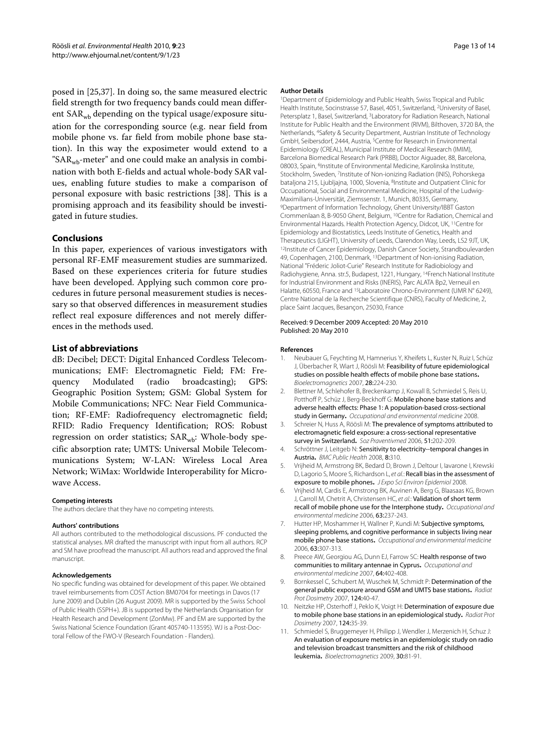posed in [[25](#page-13-6),[37](#page-13-19)]. In doing so, the same measured electric field strength for two frequency bands could mean different  $SAR<sub>wb</sub>$  depending on the typical usage/exposure situation for the corresponding source (e.g. near field from mobile phone vs. far field from mobile phone base station). In this way the exposimeter would extend to a "SAR<sub>wb</sub>-meter" and one could make an analysis in combination with both E-fields and actual whole-body SAR values, enabling future studies to make a comparison of personal exposure with basic restrictions [\[38](#page-13-20)]. This is a promising approach and its feasibility should be investigated in future studies.

# **Conclusions**

In this paper, experiences of various investigators with personal RF-EMF measurement studies are summarized. Based on these experiences criteria for future studies have been developed. Applying such common core procedures in future personal measurement studies is necessary so that observed differences in measurement studies reflect real exposure differences and not merely differences in the methods used.

# **List of abbreviations**

dB: Decibel; DECT: Digital Enhanced Cordless Telecommunications; EMF: Electromagnetic Field; FM: Frequency Modulated (radio broadcasting); GPS: Geographic Position System; GSM: Global System for Mobile Communications; NFC: Near Field Communication; RF-EMF: Radiofrequency electromagnetic field; RFID: Radio Frequency Identification; ROS: Robust regression on order statistics; SAR<sub>wb</sub>: Whole-body specific absorption rate; UMTS: Universal Mobile Telecommunications System; W-LAN: Wireless Local Area Network; WiMax: Worldwide Interoperability for Microwave Access.

# **Competing interests**

The authors declare that they have no competing interests.

#### **Authors' contributions**

All authors contributed to the methodological discussions. PF conducted the statistical analyses. MR drafted the manuscript with input from all authors. RCP and SM have proofread the manuscript. All authors read and approved the final manuscript.

#### **Acknowledgements**

No specific funding was obtained for development of this paper. We obtained travel reimbursements from COST Action BM0704 for meetings in Davos (17 June 2009) and Dublin (26 August 2009). MR is supported by the Swiss School of Public Health (SSPH+). JB is supported by the Netherlands Organisation for Health Research and Development (ZonMw). PF and EM are supported by the Swiss National Science Foundation (Grant 405740-113595). WJ is a Post-Doctoral Fellow of the FWO-V (Research Foundation - Flanders).

#### **Author Details**

1Department of Epidemiology and Public Health, Swiss Tropical and Public Health Institute, Socinstrasse 57, Basel, 4051, Switzerland, 2University of Basel, Petersplatz 1, Basel, Switzerland, 3Laboratory for Radiation Research, National Institute for Public Health and the Environment (RIVM), Bilthoven, 3720 BA, the Netherlands, 4Safety & Security Department, Austrian Institute of Technology GmbH, Seibersdorf, 2444, Austria, 5Centre for Research in Environmental Epidemiology (CREAL), Municipal Institute of Medical Research (IMIM), Barcelona Biomedical Research Park (PRBB), Doctor Aiguader, 88, Barcelona, 08003, Spain, <sup>6</sup>Institute of Environmental Medicine, Karolinska Institute, Stockholm, Sweden, 7Institute of Non-ionizing Radiation (INIS), Pohorskega bataljona 215, Ljubljajna, 1000, Slovenia, <sup>8</sup>Institute and Outpatient Clinic for Occupational, Social and Environmental Medicine, Hospital of the Ludwig-Maximilians-Universität, Ziemssenstr. 1, Munich, 80335, Germany, 9Department of Information Technology, Ghent University/IBBT Gaston Crommenlaan 8, B-9050 Ghent, Belgium, 10Centre for Radiation, Chemical and Environmental Hazards. Health Protection Agency, Didcot, UK, 11Centre for Epidemiology and Biostatistics, Leeds Institute of Genetics, Health and Therapeutics (LIGHT), University of Leeds, Clarendon Way, Leeds, LS2 9JT, UK, 12Institute of Cancer Epidemiology, Danish Cancer Society, Strandboulevarden 49, Copenhagen, 2100, Denmark, 13Department of Non-ionising Radiation, National "Fréderic Joliot-Curie" Research Institute for Radiobiology and Radiohygiene, Anna. str.5, Budapest, 1221, Hungary, 14French National Institute for Industrial Environment and Risks (INERIS), Parc ALATA Bp2, Verneuil en Halatte, 60550, France and 15Laboratoire Chrono-Environment (UMR N° 6249), Centre National de la Recherche Scientifique (CNRS), Faculty of Medicine, 2, place Saint Jacques, Besançon, 25030, France

#### Received: 9 December 2009 Accepted: 20 May 2010 Published: 20 May 2010

#### **References**

- <span id="page-12-0"></span>1. Neubauer G, Feychting M, Hamnerius Y, Kheifets L, Kuster N, Ruiz I, Schüz J, Überbacher R, Wiart J, Röösli M: Feasibility of future epidemiological studies on possible health effects of mobile phone base stations**.** Bioelectromagnetics 2007, 28:224-230.
- <span id="page-12-1"></span>2. Blettner M, Schlehofer B, Breckenkamp J, Kowall B, Schmiedel S, Reis U, Potthoff P, Schüz J, Berg-Beckhoff G: Mobile phone base stations and adverse health effects: Phase 1: A population-based cross-sectional study in Germany**.** Occupational and environmental medicine 2008.
- 3. Schreier N, Huss A, Röösli M: The prevalence of symptoms attributed to electromagnetic field exposure: a cross-sectional representative survey in Switzerland**.** Soz Praventivmed 2006, 51:202-209.
- <span id="page-12-2"></span>4. Schröttner J, Leitgeb N: Sensitivity to electricity--temporal changes in Austria**.** BMC Public Health 2008, 8:310.
- <span id="page-12-3"></span>5. Vrijheid M, Armstrong BK, Bedard D, Brown J, Deltour I, Iavarone I, Krewski D, Lagorio S, Moore S, Richardson L, et al.: Recall bias in the assessment of exposure to mobile phones**.** J Expo Sci Environ Epidemiol 2008.
- <span id="page-12-4"></span>6. Vrijheid M, Cardis E, Armstrong BK, Auvinen A, Berg G, Blaasaas KG, Brown J, Carroll M, Chetrit A, Christensen HC, et al.: Validation of short term recall of mobile phone use for the Interphone study**.** Occupational and environmental medicine 2006, 63:237-243.
- <span id="page-12-5"></span>Hutter HP, Moshammer H, Wallner P, Kundi M: Subjective symptoms, sleeping problems, and cognitive performance in subjects living near mobile phone base stations**.** Occupational and environmental medicine 2006, 63:307-313.
- <span id="page-12-6"></span>8. Preece AW, Georgiou AG, Dunn EJ, Farrow SC: Health response of two communities to military antennae in Cyprus**.** Occupational and environmental medicine 2007, 64:402-408.
- <span id="page-12-7"></span>9. Bornkessel C, Schubert M, Wuschek M, Schmidt P: Determination of the general public exposure around GSM and UMTS base stations**.** Radiat Prot Dosimetry 2007, 124:40-47.
- 10. Neitzke HP, Osterhoff J, Peklo K, Voigt H: Determination of exposure due to mobile phone base stations in an epidemiological study**.** Radiat Prot Dosimetry 2007, 124:35-39.
- 11. Schmiedel S, Bruggemeyer H, Philipp J, Wendler J, Merzenich H, Schuz J: An evaluation of exposure metrics in an epidemiologic study on radio and television broadcast transmitters and the risk of childhood leukemia**.** Bioelectromagnetics 2009, 30:81-91.